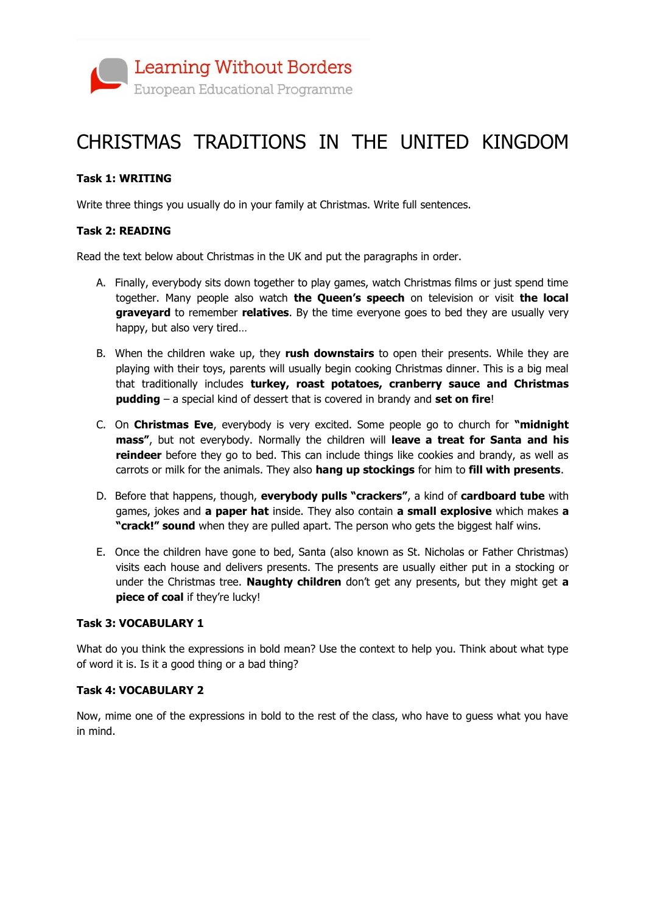

## CHRISTMAS TRADITIONS IN THE UNITED KINGDOM

### **Task 1: WRITING**

Write three things you usually do in your family at Christmas. Write full sentences.

### **Task 2: READING**

Read the text below about Christmas in the UK and put the paragraphs in order.

- A. Finally, everybody sits down together to play games, watch Christmas films or just spend time together. Many people also watch **the Queen's speech** on television or visit **the local graveyard** to remember **relatives**. By the time everyone goes to bed they are usually very happy, but also very tired…
- B. When the children wake up, they **rush downstairs** to open their presents. While they are playing with their toys, parents will usually begin cooking Christmas dinner. This is a big meal that traditionally includes **turkey, roast potatoes, cranberry sauce and Christmas pudding** – a special kind of dessert that is covered in brandy and **set on fire**!
- C. On **Christmas Eve**, everybody is very excited. Some people go to church for **"midnight mass"**, but not everybody. Normally the children will **leave a treat for Santa and his reindeer** before they go to bed. This can include things like cookies and brandy, as well as carrots or milk for the animals. They also **hang up stockings** for him to **fill with presents**.
- D. Before that happens, though, **everybody pulls "crackers"**, a kind of **cardboard tube** with games, jokes and **a paper hat** inside. They also contain **a small explosive** which makes **a "crack!" sound** when they are pulled apart. The person who gets the biggest half wins.
- E. Once the children have gone to bed, Santa (also known as St. Nicholas or Father Christmas) visits each house and delivers presents. The presents are usually either put in a stocking or under the Christmas tree. **Naughty children** don't get any presents, but they might get **a piece of coal** if they're lucky!

### **Task 3: VOCABULARY 1**

What do you think the expressions in bold mean? Use the context to help you. Think about what type of word it is. Is it a good thing or a bad thing?

#### **Task 4: VOCABULARY 2**

Now, mime one of the expressions in bold to the rest of the class, who have to guess what you have in mind.